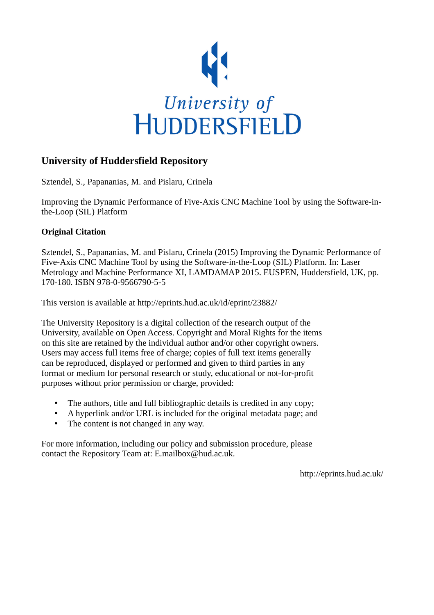

## **University of Huddersfield Repository**

Sztendel, S., Papananias, M. and Pislaru, Crinela

Improving the Dynamic Performance of Five-Axis CNC Machine Tool by using the Software-inthe-Loop (SIL) Platform

## **Original Citation**

Sztendel, S., Papananias, M. and Pislaru, Crinela (2015) Improving the Dynamic Performance of Five-Axis CNC Machine Tool by using the Software-in-the-Loop (SIL) Platform. In: Laser Metrology and Machine Performance XI, LAMDAMAP 2015. EUSPEN, Huddersfield, UK, pp. 170-180. ISBN 978-0-9566790-5-5

This version is available at http://eprints.hud.ac.uk/id/eprint/23882/

The University Repository is a digital collection of the research output of the University, available on Open Access. Copyright and Moral Rights for the items on this site are retained by the individual author and/or other copyright owners. Users may access full items free of charge; copies of full text items generally can be reproduced, displayed or performed and given to third parties in any format or medium for personal research or study, educational or not-for-profit purposes without prior permission or charge, provided:

- The authors, title and full bibliographic details is credited in any copy;
- A hyperlink and/or URL is included for the original metadata page; and
- The content is not changed in any way.

For more information, including our policy and submission procedure, please contact the Repository Team at: E.mailbox@hud.ac.uk.

http://eprints.hud.ac.uk/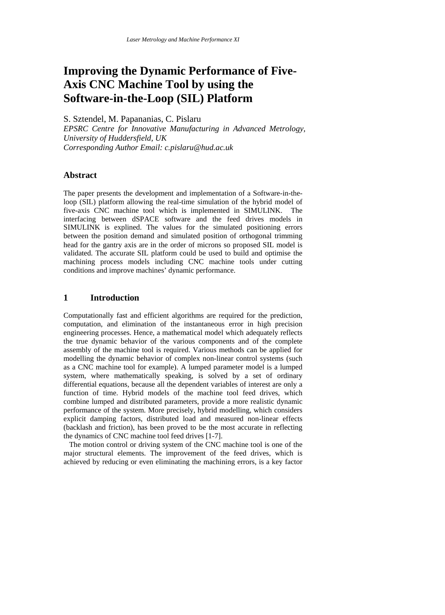# **Improving the Dynamic Performance of Five-Axis CNC Machine Tool by using the Software-in-the-Loop (SIL) Platform**

S. Sztendel, M. Papananias, C. Pislaru

*EPSRC Centre for Innovative Manufacturing in Advanced Metrology, University of Huddersfield, UK Corresponding Author Email: c.pislaru@hud.ac.uk*

#### **Abstract**

The paper presents the development and implementation of a Software-in-theloop (SIL) platform allowing the real-time simulation of the hybrid model of five-axis CNC machine tool which is implemented in SIMULINK. The interfacing between dSPACE software and the feed drives models in SIMULINK is explined. The values for the simulated positioning errors between the position demand and simulated position of orthogonal trimming head for the gantry axis are in the order of microns so proposed SIL model is validated. The accurate SIL platform could be used to build and optimise the machining process models including CNC machine tools under cutting conditions and improve machines' dynamic performance.

#### **1 Introduction**

Computationally fast and efficient algorithms are required for the prediction, computation, and elimination of the instantaneous error in high precision engineering processes. Hence, a mathematical model which adequately reflects the true dynamic behavior of the various components and of the complete assembly of the machine tool is required. Various methods can be applied for modelling the dynamic behavior of complex non-linear control systems (such as a CNC machine tool for example). A lumped parameter model is a lumped system, where mathematically speaking, is solved by a set of ordinary differential equations, because all the dependent variables of interest are only a function of time. Hybrid models of the machine tool feed drives, which combine lumped and distributed parameters, provide a more realistic dynamic performance of the system. More precisely, hybrid modelling, which considers explicit damping factors, distributed load and measured non-linear effects (backlash and friction), has been proved to be the most accurate in reflecting the dynamics of CNC machine tool feed drives [1-7].

 The motion control or driving system of the CNC machine tool is one of the major structural elements. The improvement of the feed drives, which is achieved by reducing or even eliminating the machining errors, is a key factor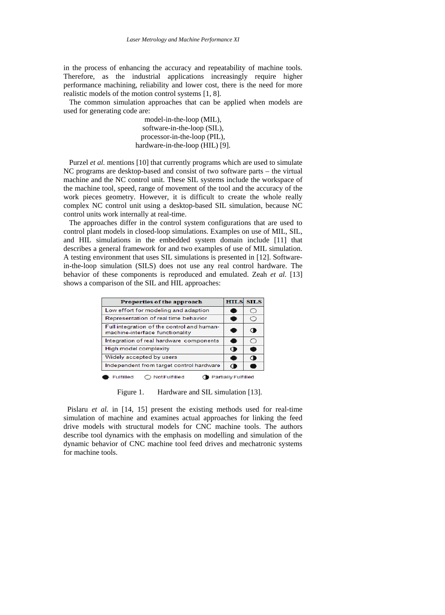in the process of enhancing the accuracy and repeatability of machine tools. Therefore, as the industrial applications increasingly require higher performance machining, reliability and lower cost, there is the need for more realistic models of the motion control systems [1, 8].

 The common simulation approaches that can be applied when models are used for generating code are:

> model-in-the-loop (MIL), software-in-the-loop (SIL), processor-in-the-loop (PIL), hardware-in-the-loop (HIL) [9].

Purzel *et al.* mentions [10] that currently programs which are used to simulate NC programs are desktop-based and consist of two software parts – the virtual machine and the NC control unit. These SIL systems include the workspace of the machine tool, speed, range of movement of the tool and the accuracy of the work pieces geometry. However, it is difficult to create the whole really complex NC control unit using a desktop-based SIL simulation, because NC control units work internally at real-time.

 The approaches differ in the control system configurations that are used to control plant models in closed-loop simulations. Examples on use of MIL, SIL, and HIL simulations in the embedded system domain include [11] that describes a general framework for and two examples of use of MIL simulation. A testing environment that uses SIL simulations is presented in [12]. Softwarein-the-loop simulation (SILS) does not use any real control hardware. The behavior of these components is reproduced and emulated. Zeah *et al.* [13] shows a comparison of the SIL and HIL approaches:

| Properties of the approach                                                    |           | <b>HILS SILS</b> |
|-------------------------------------------------------------------------------|-----------|------------------|
| Low effort for modeling and adaption                                          |           | ш                |
| Representation of real time behavior                                          |           | ↩                |
| Full integration of the control and human-<br>machine-interface functionality |           | ◆                |
| Integration of real hardware components                                       | œ         | C                |
| High model complexity                                                         | O         | ā                |
| Widely accepted by users                                                      |           |                  |
| Independent from target control hardware                                      | $\bullet$ |                  |
| <b>Partially Fulfilled</b><br>Not Fulfilled<br><b>Fulfilled</b>               |           |                  |

Figure 1. Hardware and SIL simulation [13].

 Pislaru *et al.* in [14, 15] present the existing methods used for real-time simulation of machine and examines actual approaches for linking the feed drive models with structural models for CNC machine tools. The authors describe tool dynamics with the emphasis on modelling and simulation of the dynamic behavior of CNC machine tool feed drives and mechatronic systems for machine tools.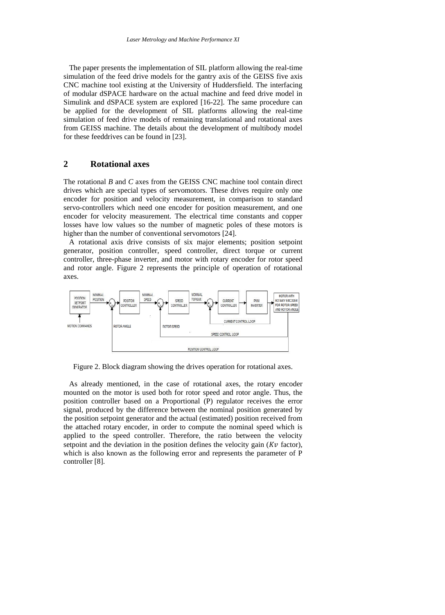The paper presents the implementation of SIL platform allowing the real-time simulation of the feed drive models for the gantry axis of the GEISS five axis CNC machine tool existing at the University of Huddersfield. The interfacing of modular dSPACE hardware on the actual machine and feed drive model in Simulink and dSPACE system are explored [16-22]. The same procedure can be applied for the development of SIL platforms allowing the real-time simulation of feed drive models of remaining translational and rotational axes from GEISS machine. The details about the development of multibody model for these feeddrives can be found in [23].

#### **2 Rotational axes**

The rotational *B* and *C* axes from the GEISS CNC machine tool contain direct drives which are special types of servomotors. These drives require only one encoder for position and velocity measurement, in comparison to standard servo-controllers which need one encoder for position measurement, and one encoder for velocity measurement. The electrical time constants and copper losses have low values so the number of magnetic poles of these motors is higher than the number of conventional servomotors [24].

 A rotational axis drive consists of six major elements; position setpoint generator, position controller, speed controller, direct torque or current controller, three-phase inverter, and motor with rotary encoder for rotor speed and rotor angle. Figure 2 represents the principle of operation of rotational axes.



Figure 2. Block diagram showing the drives operation for rotational axes.

 As already mentioned, in the case of rotational axes, the rotary encoder mounted on the motor is used both for rotor speed and rotor angle. Thus, the position controller based on a Proportional (P) regulator receives the error signal, produced by the difference between the nominal position generated by the position setpoint generator and the actual (estimated) position received from the attached rotary encoder, in order to compute the nominal speed which is applied to the speed controller. Therefore, the ratio between the velocity setpoint and the deviation in the position defines the velocity gain ( $Kv$  factor), which is also known as the following error and represents the parameter of P controller [8].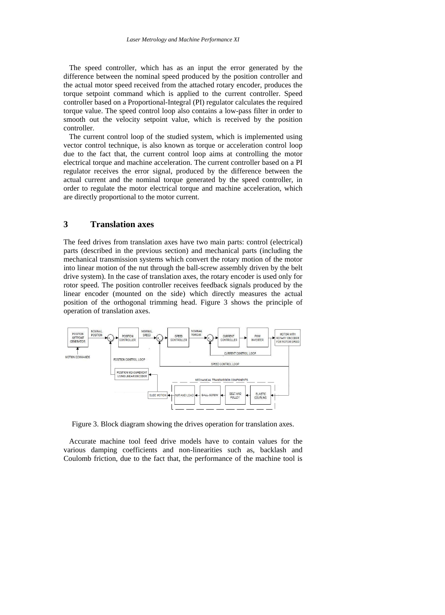The speed controller, which has as an input the error generated by the difference between the nominal speed produced by the position controller and the actual motor speed received from the attached rotary encoder, produces the torque setpoint command which is applied to the current controller. Speed controller based on a Proportional-Integral (PI) regulator calculates the required torque value. The speed control loop also contains a low-pass filter in order to smooth out the velocity setpoint value, which is received by the position controller.

 The current control loop of the studied system, which is implemented using vector control technique, is also known as torque or acceleration control loop due to the fact that, the current control loop aims at controlling the motor electrical torque and machine acceleration. The current controller based on a PI regulator receives the error signal, produced by the difference between the actual current and the nominal torque generated by the speed controller, in order to regulate the motor electrical torque and machine acceleration, which are directly proportional to the motor current.

#### **3 Translation axes**

The feed drives from translation axes have two main parts: control (electrical) parts (described in the previous section) and mechanical parts (including the mechanical transmission systems which convert the rotary motion of the motor into linear motion of the nut through the ball-screw assembly driven by the belt drive system). In the case of translation axes, the rotary encoder is used only for rotor speed. The position controller receives feedback signals produced by the linear encoder (mounted on the side) which directly measures the actual position of the orthogonal trimming head. Figure 3 shows the principle of operation of translation axes.



Figure 3. Block diagram showing the drives operation for translation axes.

 Accurate machine tool feed drive models have to contain values for the various damping coefficients and non-linearities such as, backlash and Coulomb friction, due to the fact that, the performance of the machine tool is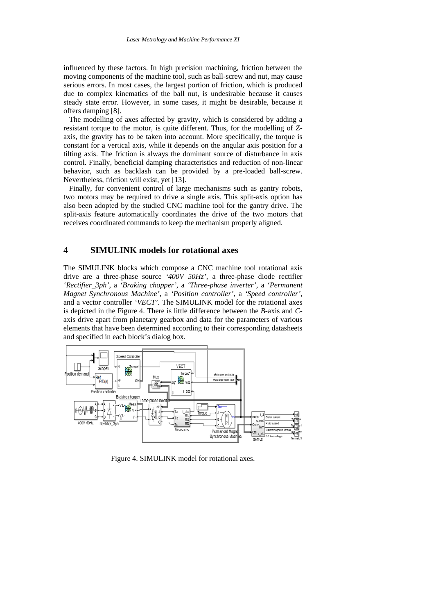influenced by these factors. In high precision machining, friction between the moving components of the machine tool, such as ball-screw and nut, may cause serious errors. In most cases, the largest portion of friction, which is produced due to complex kinematics of the ball nut, is undesirable because it causes steady state error. However, in some cases, it might be desirable, because it offers damping [8].

 The modelling of axes affected by gravity, which is considered by adding a resistant torque to the motor, is quite different. Thus, for the modelling of *Z*axis, the gravity has to be taken into account. More specifically, the torque is constant for a vertical axis, while it depends on the angular axis position for a tilting axis. The friction is always the dominant source of disturbance in axis control. Finally, beneficial damping characteristics and reduction of non-linear behavior, such as backlash can be provided by a pre-loaded ball-screw. Nevertheless, friction will exist, yet [13].

 Finally, for convenient control of large mechanisms such as gantry robots, two motors may be required to drive a single axis. This split-axis option has also been adopted by the studied CNC machine tool for the gantry drive. The split-axis feature automatically coordinates the drive of the two motors that receives coordinated commands to keep the mechanism properly aligned.

#### **4 SIMULINK models for rotational axes**

The SIMULINK blocks which compose a CNC machine tool rotational axis drive are a three-phase source *'400V 50Hz'*, a three-phase diode rectifier *'Rectifier\_3ph'*, a *'Braking chopper'*, a *'Three-phase inverter'*, a *'Permanent Magnet Synchronous Machine'*, a *'Position controller'*, a *'Speed controller'*, and a vector controller *'VECT'*. The SIMULINK model for the rotational axes is depicted in the Figure 4. There is little difference between the *B*-axis and *C*axis drive apart from planetary gearbox and data for the parameters of various elements that have been determined according to their corresponding datasheets and specified in each block's dialog box.



Figure 4. SIMULINK model for rotational axes.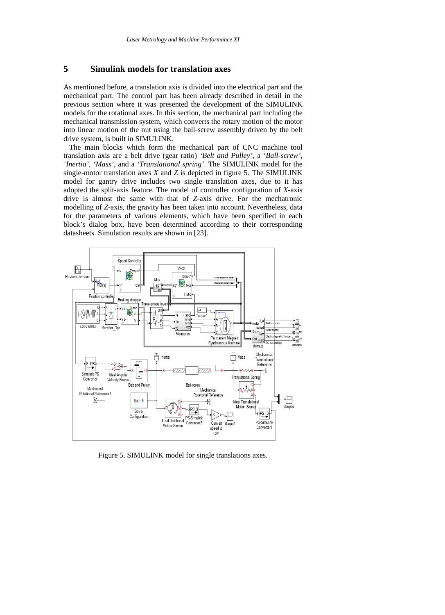#### **5 Simulink models for translation axes**

As mentioned before, a translation axis is divided into the electrical part and the mechanical part. The control part has been already described in detail in the previous section where it was presented the development of the SIMULINK models for the rotational axes. In this section, the mechanical part including the mechanical transmission system, which converts the rotary motion of the motor into linear motion of the nut using the ball-screw assembly driven by the belt drive system, is built in SIMULINK.

 The main blocks which form the mechanical part of CNC machine tool translation axis are a belt drive (gear ratio) *'Belt and Pulley'*, a *'Ball-screw'*, *'Inertia'*, *'Mass'*, and a *'Translational spring'*. The SIMULINK model for the single-motor translation axes *X* and *Z* is depicted in figure 5. The SIMULINK model for gantry drive includes two single translation axes, due to it has adopted the split-axis feature. The model of controller configuration of *X*-axis drive is almost the same with that of *Z*-axis drive. For the mechatronic modelling of *Z*-axis, the gravity has been taken into account. Nevertheless, data for the parameters of various elements, which have been specified in each block's dialog box, have been determined according to their corresponding datasheets. Simulation results are shown in [23].



Figure 5. SIMULINK model for single translations axes.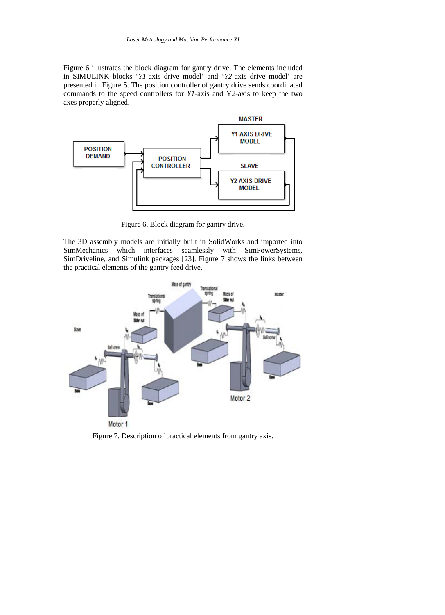Figure 6 illustrates the block diagram for gantry drive. The elements included in SIMULINK blocks '*Y1*-axis drive model' and '*Y2*-axis drive model' are presented in Figure 5. The position controller of gantry drive sends coordinated commands to the speed controllers for *Y1*-axis and Y*2*-axis to keep the two axes properly aligned.



Figure 6. Block diagram for gantry drive.

The 3D assembly models are initially built in SolidWorks and imported into SimMechanics which interfaces seamlessly with SimPowerSystems, SimDriveline, and Simulink packages [23]. Figure 7 shows the links between the practical elements of the gantry feed drive.



Figure 7. Description of practical elements from gantry axis.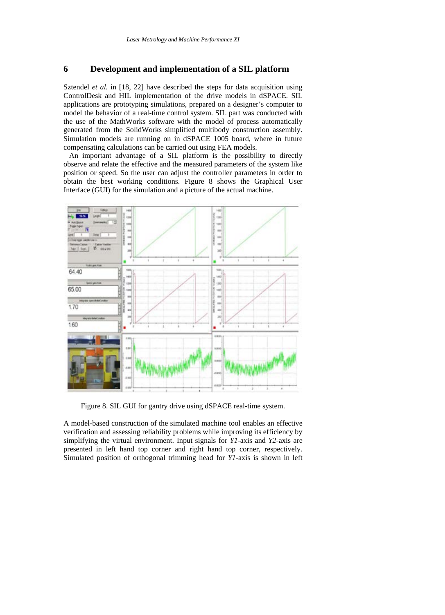#### **6 Development and implementation of a SIL platform**

Sztendel *et al.* in [18, 22] have described the steps for data acquisition using ControlDesk and HIL implementation of the drive models in dSPACE. SIL applications are prototyping simulations, prepared on a designer's computer to model the behavior of a real-time control system. SIL part was conducted with the use of the MathWorks software with the model of process automatically generated from the SolidWorks simplified multibody construction assembly. Simulation models are running on in dSPACE 1005 board, where in future compensating calculations can be carried out using FEA models.

 An important advantage of a SIL platform is the possibility to directly observe and relate the effective and the measured parameters of the system like position or speed. So the user can adjust the controller parameters in order to obtain the best working conditions. Figure 8 shows the Graphical User Interface (GUI) for the simulation and a picture of the actual machine.



Figure 8. SIL GUI for gantry drive using dSPACE real-time system.

A model-based construction of the simulated machine tool enables an effective verification and assessing reliability problems while improving its efficiency by simplifying the virtual environment. Input signals for *Y1*-axis and *Y2*-axis are presented in left hand top corner and right hand top corner, respectively. Simulated position of orthogonal trimming head for *Y1*-axis is shown in left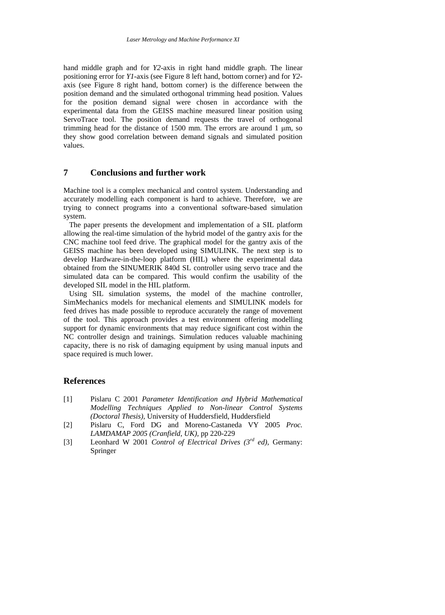hand middle graph and for *Y2*-axis in right hand middle graph. The linear positioning error for *Y1*-axis (see Figure 8 left hand, bottom corner) and for *Y2* axis (see Figure 8 right hand, bottom corner) is the difference between the position demand and the simulated orthogonal trimming head position. Values for the position demand signal were chosen in accordance with the experimental data from the GEISS machine measured linear position using ServoTrace tool. The position demand requests the travel of orthogonal trimming head for the distance of 1500 mm. The errors are around 1 μm, so they show good correlation between demand signals and simulated position values.

### **7 Conclusions and further work**

Machine tool is a complex mechanical and control system. Understanding and accurately modelling each component is hard to achieve. Therefore, we are trying to connect programs into a conventional software-based simulation system.

 The paper presents the development and implementation of a SIL platform allowing the real-time simulation of the hybrid model of the gantry axis for the CNC machine tool feed drive. The graphical model for the gantry axis of the GEISS machine has been developed using SIMULINK. The next step is to develop Hardware-in-the-loop platform (HIL) where the experimental data obtained from the SINUMERIK 840d SL controller using servo trace and the simulated data can be compared. This would confirm the usability of the developed SIL model in the HIL platform.

 Using SIL simulation systems, the model of the machine controller, SimMechanics models for mechanical elements and SIMULINK models for feed drives has made possible to reproduce accurately the range of movement of the tool. This approach provides a test environment offering modelling support for dynamic environments that may reduce significant cost within the NC controller design and trainings. Simulation reduces valuable machining capacity, there is no risk of damaging equipment by using manual inputs and space required is much lower.

#### **References**

- [1] Pislaru C 2001 *Parameter Identification and Hybrid Mathematical Modelling Techniques Applied to Non-linear Control Systems (Doctoral Thesis),* University of Huddersfield, Huddersfield
- [2] Pislaru C, Ford DG and Moreno-Castaneda VY 2005 *Proc. LAMDAMAP 2005 (Cranfield, UK),* pp 220-229
- [3] Leonhard W 2001 *Control of Electrical Drives (3rd ed),* Germany: Springer